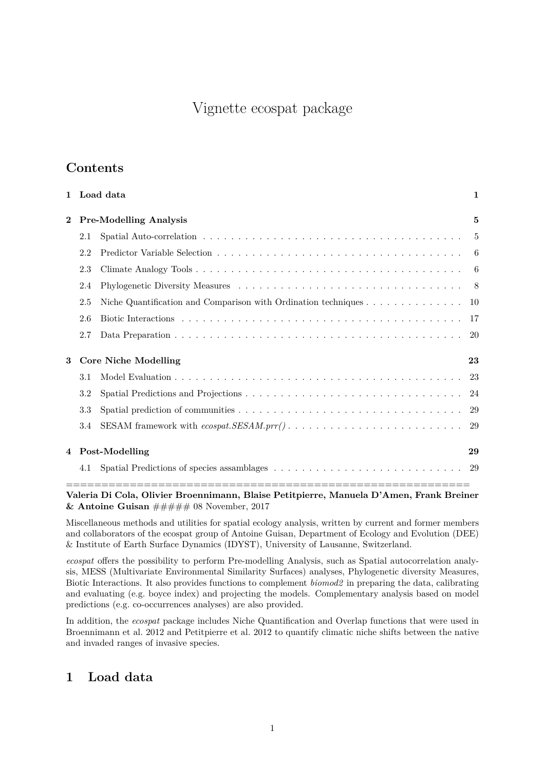# Vignette ecospat package

# **Contents**

|     | Load data | $\mathbf{1}$                                                                                                                                                                                     |
|-----|-----------|--------------------------------------------------------------------------------------------------------------------------------------------------------------------------------------------------|
|     |           | 5                                                                                                                                                                                                |
| 2.1 |           | 5                                                                                                                                                                                                |
| 2.2 |           | -6                                                                                                                                                                                               |
| 2.3 |           | 6                                                                                                                                                                                                |
| 2.4 |           | -8                                                                                                                                                                                               |
| 2.5 |           | 10                                                                                                                                                                                               |
| 2.6 |           | 17                                                                                                                                                                                               |
| 2.7 |           | 20                                                                                                                                                                                               |
|     |           | 23                                                                                                                                                                                               |
| 3.1 |           | -23                                                                                                                                                                                              |
| 3.2 |           | -24                                                                                                                                                                                              |
| 3.3 |           |                                                                                                                                                                                                  |
| 3.4 |           | -29                                                                                                                                                                                              |
| 4   |           | 29                                                                                                                                                                                               |
| 4.1 |           |                                                                                                                                                                                                  |
|     |           | <b>Pre-Modelling Analysis</b><br><b>Core Niche Modelling</b><br>Post-Modelling<br>Spatial Predictions of species assamblages $\ldots \ldots \ldots \ldots \ldots \ldots \ldots \ldots \ldots 29$ |

**Valeria Di Cola, Olivier Broennimann, Blaise Petitpierre, Manuela D'Amen, Frank Breiner & Antoine Guisan** ##### 08 November, 2017

Miscellaneous methods and utilities for spatial ecology analysis, written by current and former members and collaborators of the ecospat group of Antoine Guisan, Department of Ecology and Evolution (DEE) & Institute of Earth Surface Dynamics (IDYST), University of Lausanne, Switzerland.

*ecospat* offers the possibility to perform Pre-modelling Analysis, such as Spatial autocorrelation analysis, MESS (Multivariate Environmental Similarity Surfaces) analyses, Phylogenetic diversity Measures, Biotic Interactions. It also provides functions to complement *biomod2* in preparing the data, calibrating and evaluating (e.g. boyce index) and projecting the models. Complementary analysis based on model predictions (e.g. co-occurrences analyses) are also provided.

In addition, the *ecospat* package includes Niche Quantification and Overlap functions that were used in Broennimann et al. 2012 and Petitpierre et al. 2012 to quantify climatic niche shifts between the native and invaded ranges of invasive species.

# <span id="page-0-0"></span>**1 Load data**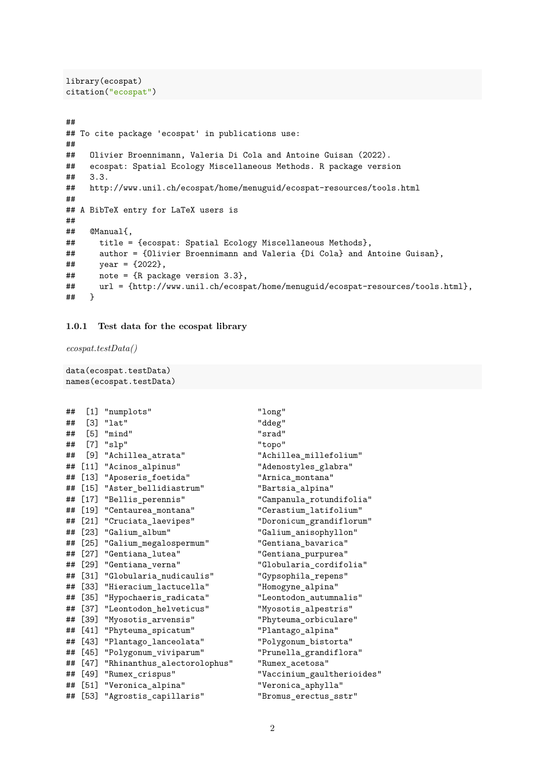```
library(ecospat)
citation("ecospat")
```

```
##
## To cite package 'ecospat' in publications use:
##
    Olivier Broennimann, Valeria Di Cola and Antoine Guisan (2022).
## ecospat: Spatial Ecology Miscellaneous Methods. R package version
## 3.3.
## http://www.unil.ch/ecospat/home/menuguid/ecospat-resources/tools.html
##
## A BibTeX entry for LaTeX users is
##
## @Manual{,
## title = {ecospat: Spatial Ecology Miscellaneous Methods},
## author = {Olivier Broennimann and Valeria {Di Cola} and Antoine Guisan},
\# year = {2022},
## note = {R package version 3.3},
## url = {http://www.unil.ch/ecospat/home/menuguid/ecospat-resources/tools.html},
## }
```
#### **1.0.1 Test data for the ecospat library**

*ecospat.testData()*

```
data(ecospat.testData)
names(ecospat.testData)
```

```
## [1] "numplots" "long"
## [3] "lat" "ddeg"
## [5] "mind" "srad"
## [7] "slp" "topo"
## [9] "Achillea_atrata" "Achillea_millefolium"
## [11] "Acinos_alpinus" "Adenostyles_glabra"
## [13] "Aposeris foetida" "Arnica montana"
## [15] "Aster bellidiastrum" "Bartsia alpina"
## [17] "Bellis_perennis" "Campanula_rotundifolia"
## [19] "Centaurea montana" "Cerastium latifolium"
## [21] "Cruciata_laevipes" "Doronicum_grandiflorum"
## [23] "Galium_album" "Galium_anisophyllon"
## [25] "Galium_megalospermum" "Gentiana_bavarica"
## [27] "Gentiana_lutea" "Gentiana_purpurea"
## [29] "Gentiana_verna" "Globularia_cordifolia"
## [31] "Globularia_nudicaulis" "Gypsophila_repens"
## [33] "Hieracium_lactucella" "Homogyne_alpina"
## [35] "Hypochaeris radicata" "Leontodon autumnalis"
## [37] "Leontodon_helveticus" "Myosotis_alpestris"
## [39] "Myosotis_arvensis" "Phyteuma_orbiculare"
## [41] "Phyteuma_spicatum" "Plantago_alpina"
## [43] "Plantago_lanceolata" "Polygonum_bistorta"
## [45] "Polygonum_viviparum" "Prunella_grandiflora"
## [47] "Rhinanthus_alectorolophus" "Rumex_acetosa"
## [49] "Rumex_crispus" "Vaccinium_gaultherioides"
## [51] "Veronica_alpina" "Veronica_aphylla"
## [53] "Agrostis_capillaris" "Bromus_erectus_sstr"
```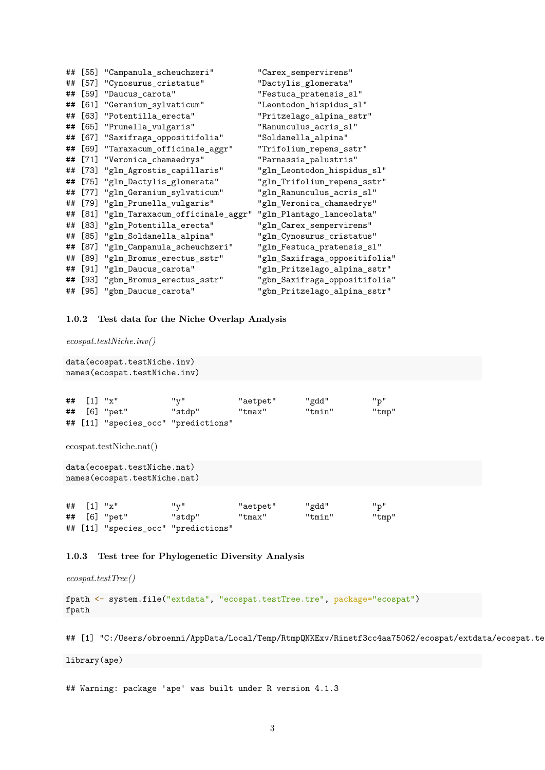|    | ## [55] | "Campanula_scheuchzeri"                                   | "Carex_sempervirens"          |
|----|---------|-----------------------------------------------------------|-------------------------------|
| ## | $[57]$  | "Cynosurus_cristatus"                                     | "Dactylis_glomerata"          |
| ## | [59]    | "Daucus_carota"                                           | "Festuca_pratensis_sl"        |
| ## | [61]    | "Geranium_sylvaticum"                                     | "Leontodon_hispidus_sl"       |
| ## | $[63]$  | "Potentilla_erecta"                                       | "Pritzelago_alpina_sstr"      |
| ## | $[65]$  | "Prunella_vulgaris"                                       | "Ranunculus_acris_sl"         |
| ## | [67]    | "Saxifraga_oppositifolia"                                 | "Soldanella_alpina"           |
| ## | $[69]$  | "Taraxacum_officinale_aggr"                               | "Trifolium_repens_sstr"       |
| ## | $[71]$  | "Veronica_chamaedrys"                                     | "Parnassia_palustris"         |
| ## |         | [73] "glm_Agrostis_capillaris"                            | "glm_Leontodon_hispidus_sl"   |
| ## |         | [75] "glm_Dactylis_glomerata"                             | "glm_Trifolium_repens_sstr"   |
| ## |         | [77] "glm_Geranium_sylvaticum"                            | "glm_Ranunculus_acris_sl"     |
|    |         | ## [79] "glm_Prunella_vulgaris"                           | "glm_Veronica_chamaedrys"     |
| ## | [81]    | "glm_Taraxacum_officinale_aggr" "glm_Plantago_lanceolata" |                               |
| ## | $[83]$  | "glm_Potentilla_erecta"                                   | "glm_Carex_sempervirens"      |
| ## | $[85]$  | "glm_Soldanella_alpina"                                   | "glm_Cynosurus_cristatus"     |
| ## | $[87]$  | "glm_Campanula_scheuchzeri"                               | "glm_Festuca_pratensis_sl"    |
| ## | [89]    | "glm_Bromus_erectus_sstr"                                 | "glm_Saxifraga_oppositifolia" |
| ## | $[91]$  | "glm_Daucus_carota"                                       | "glm_Pritzelago_alpina_sstr"  |
|    | ## [93] | "gbm_Bromus_erectus_sstr"                                 | "gbm_Saxifraga_oppositifolia" |
|    | ## [95] | "gbm_Daucus_carota"                                       | "gbm_Pritzelago_alpina_sstr"  |

**1.0.2 Test data for the Niche Overlap Analysis**

*ecospat.testNiche.inv()*

```
data(ecospat.testNiche.inv)
names(ecospat.testNiche.inv)
## [1] "x" "y" "aetpet" "gdd" "p"
## [6] "pet" "stdp" "tmax" "tmin" "tmp"
## [11] "species_occ" "predictions"
```
ecospat.testNiche.nat()

```
data(ecospat.testNiche.nat)
names(ecospat.testNiche.nat)
```

| ## $[1]$ "x" |                                     | "v"    | "aetpet" | "gdd"  | "p"   |
|--------------|-------------------------------------|--------|----------|--------|-------|
|              | ## [6] "pet"                        | "stdp" | "tmax"   | "tmin" | "tmp" |
|              | ## [11] "species_occ" "predictions" |        |          |        |       |

#### **1.0.3 Test tree for Phylogenetic Diversity Analysis**

*ecospat.testTree()*

fpath <- system.file("extdata", "ecospat.testTree.tre", package="ecospat") fpath

## [1] "C:/Users/obroenni/AppData/Local/Temp/RtmpQNKExv/Rinstf3cc4aa75062/ecospat/extdata/ecospat.te

library(ape)

## Warning: package 'ape' was built under R version 4.1.3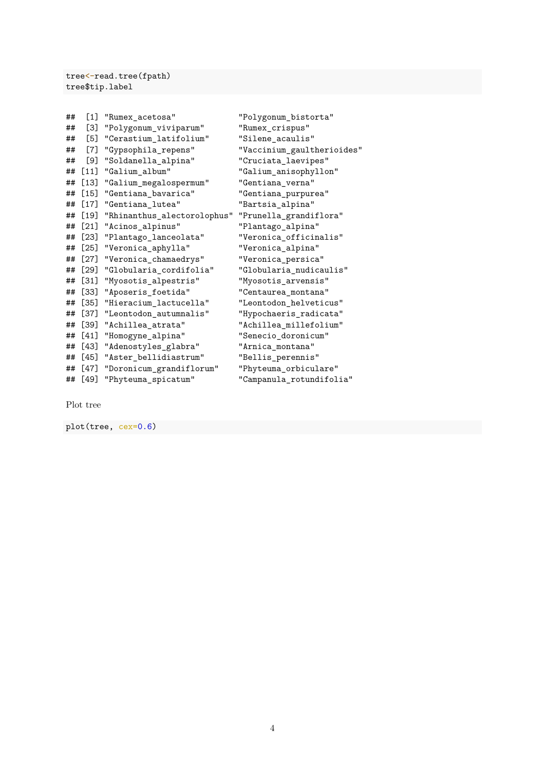tree<-read.tree(fpath) tree\$tip.label

|         | "Rumex_acetosa"             | "Polygonum_bistorta"       |
|---------|-----------------------------|----------------------------|
| [3]     | "Polygonum_viviparum"       | "Rumex_crispus"            |
| $[5]$   | "Cerastium_latifolium"      | "Silene_acaulis"           |
| [7]     | "Gypsophila_repens"         | "Vaccinium_gaultherioides" |
| [9]     | "Soldanella_alpina"         | "Cruciata_laevipes"        |
| $[11]$  | "Galium_album"              | "Galium_anisophyllon"      |
| [13]    | "Galium_megalospermum"      | "Gentiana_verna"           |
|         | "Gentiana_bavarica"         | "Gentiana_purpurea"        |
| $[17]$  | "Gentiana_lutea"            | "Bartsia_alpina"           |
| [19]    | "Rhinanthus_alectorolophus" | "Prunella_grandiflora"     |
| $[21]$  | "Acinos_alpinus"            | "Plantago_alpina"          |
| $[23]$  | "Plantago_lanceolata"       | "Veronica_officinalis"     |
| $[25]$  | "Veronica_aphylla"          | "Veronica_alpina"          |
| $[27]$  | "Veronica_chamaedrys"       | "Veronica_persica"         |
| $[29]$  | "Globularia_cordifolia"     | "Globularia_nudicaulis"    |
| $[31]$  | "Myosotis_alpestris"        | "Myosotis_arvensis"        |
| $[33]$  | "Aposeris_foetida"          | "Centaurea_montana"        |
| $[35]$  | "Hieracium_lactucella"      | "Leontodon_helveticus"     |
| $[37]$  | "Leontodon_autumnalis"      | "Hypochaeris_radicata"     |
| [39]    | "Achillea_atrata"           | "Achillea_millefolium"     |
| [41]    | "Homogyne_alpina"           | "Senecio_doronicum"        |
| [43]    | "Adenostyles_glabra"        | "Arnica_montana"           |
| [45]    | "Aster_bellidiastrum"       | "Bellis_perennis"          |
| [47]    | "Doronicum_grandiflorum"    | "Phyteuma_orbiculare"      |
| ## [49] | "Phyteuma_spicatum"         | "Campanula_rotundifolia"   |
|         |                             | $\left[1\right]$<br>$[15]$ |

Plot tree

plot(tree, cex=0.6)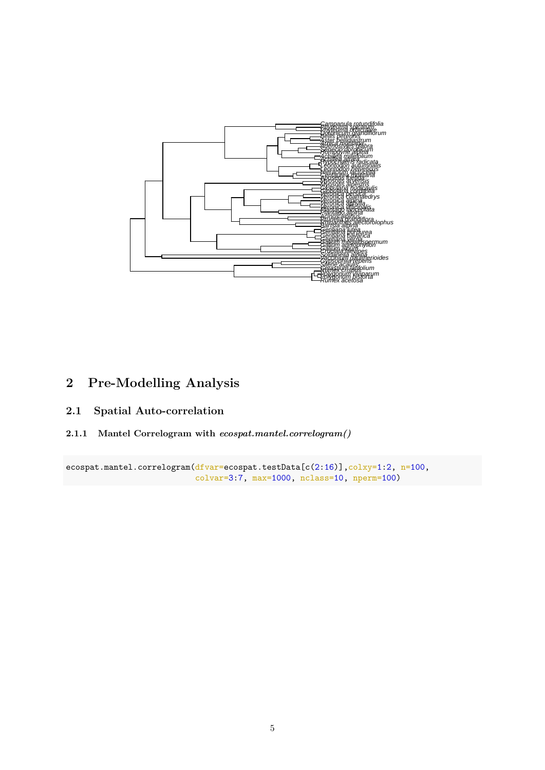

# <span id="page-4-0"></span>**2 Pre-Modelling Analysis**

# <span id="page-4-1"></span>**2.1 Spatial Auto-correlation**

**2.1.1 Mantel Correlogram with** *ecospat.mantel.correlogram()*

ecospat.mantel.correlogram(dfvar=ecospat.testData[c(2:16)],colxy=1:2, n=100, colvar=3:7, max=1000, nclass=10, nperm=100)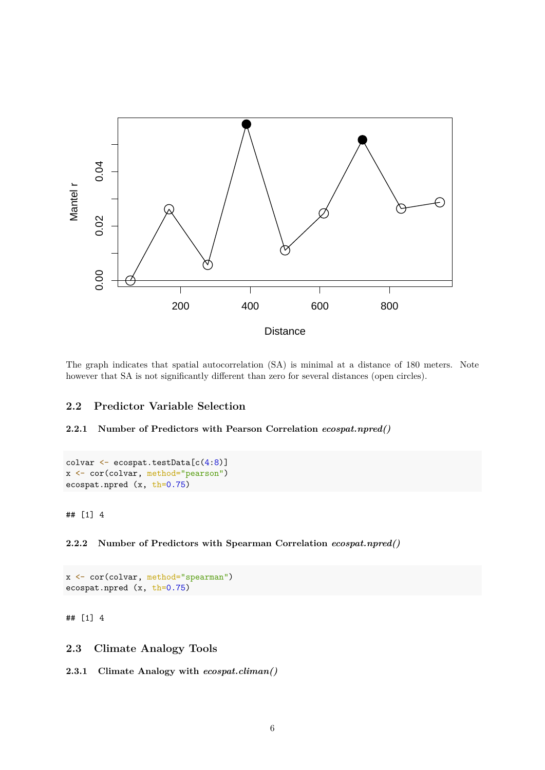

The graph indicates that spatial autocorrelation (SA) is minimal at a distance of 180 meters. Note however that SA is not significantly different than zero for several distances (open circles).

# <span id="page-5-0"></span>**2.2 Predictor Variable Selection**

#### **2.2.1 Number of Predictors with Pearson Correlation** *ecospat.npred()*

```
colvar <- ecospat.testData[c(4:8)]
x <- cor(colvar, method="pearson")
ecospat.npred (x, th=0.75)
```
## [1] 4

**2.2.2 Number of Predictors with Spearman Correlation** *ecospat.npred()*

```
x <- cor(colvar, method="spearman")
ecospat.npred (x, th=0.75)
```
## [1] 4

<span id="page-5-1"></span>**2.3 Climate Analogy Tools**

**2.3.1 Climate Analogy with** *ecospat.climan()*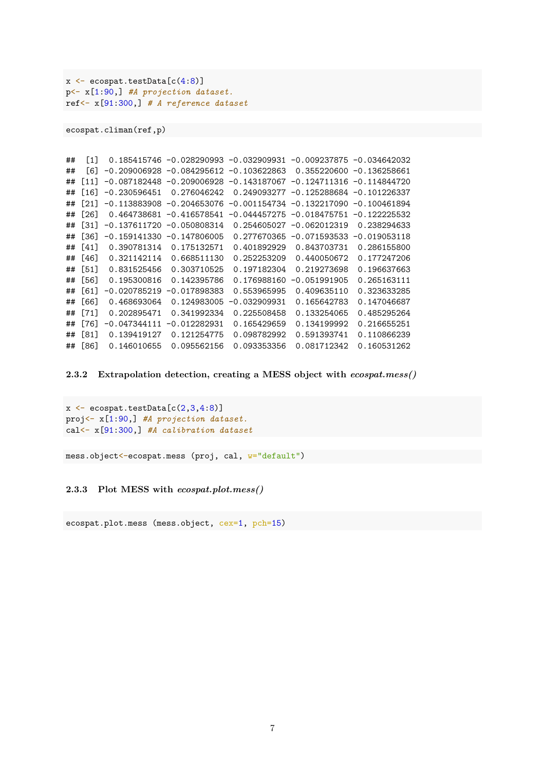```
x \leftarrow e \cos p \cdot t \cdot \text{testData}[c(4:8)]p<- x[1:90,] #A projection dataset.
ref<- x[91:300,] # A reference dataset
```
ecospat.climan(ref,p)

```
## [1] 0.185415746 -0.028290993 -0.032909931 -0.009237875 -0.034642032
## [6] -0.209006928 -0.084295612 -0.103622863 0.355220600 -0.136258661
## [11] -0.087182448 -0.209006928 -0.143187067 -0.124711316 -0.114844720
## [16] -0.230596451 0.276046242 0.249093277 -0.125288684 -0.101226337
## [21] -0.113883908 -0.204653076 -0.001154734 -0.132217090 -0.100461894
## [26] 0.464738681 -0.416578541 -0.044457275 -0.018475751 -0.122225532
## [31] -0.137611720 -0.050808314 0.254605027 -0.062012319 0.238294633
## [36] -0.159141330 -0.147806005 0.277670365 -0.071593533 -0.019053118
## [41] 0.390781314 0.175132571 0.401892929 0.843703731 0.286155800
## [46] 0.321142114 0.668511130 0.252253209 0.440050672 0.177247206
## [51] 0.831525456 0.303710525 0.197182304 0.219273698 0.196637663
## [56] 0.195300816 0.142395786 0.176988160 -0.051991905 0.265163111
## [61] -0.020785219 -0.017898383 0.553965995 0.409635110 0.323633285
## [66] 0.468693064 0.124983005 -0.032909931 0.165642783 0.147046687
## [71] 0.202895471 0.341992334 0.225508458 0.133254065 0.485295264
## [76] -0.047344111 -0.012282931 0.165429659 0.134199992 0.216655251
## [81] 0.139419127 0.121254775 0.098782992 0.591393741 0.110866239
## [86] 0.146010655 0.095562156 0.093353356 0.081712342 0.160531262
```
**2.3.2 Extrapolation detection, creating a MESS object with** *ecospat.mess()*

```
x \leftarrow e \cos(2.3, 4.8)proj<- x[1:90,] #A projection dataset.
cal<- x[91:300,] #A calibration dataset
```
mess.object<-ecospat.mess (proj, cal, w="default")

**2.3.3 Plot MESS with** *ecospat.plot.mess()*

ecospat.plot.mess (mess.object, cex=1, pch=15)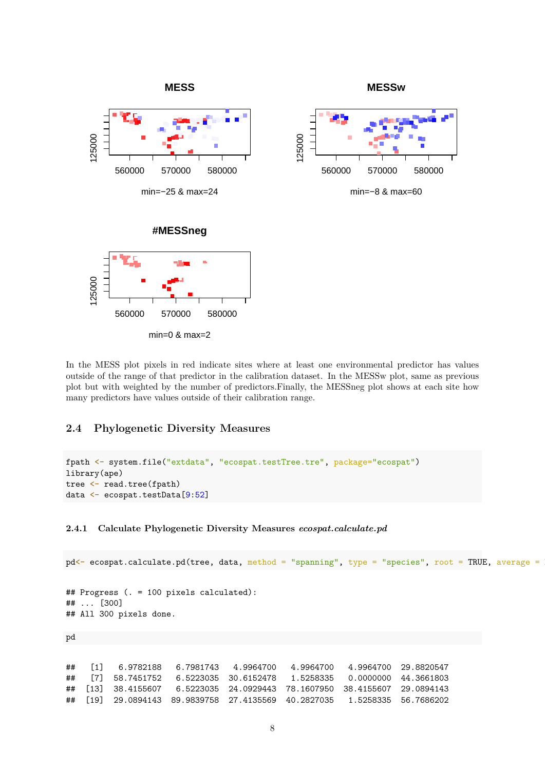

In the MESS plot pixels in red indicate sites where at least one environmental predictor has values outside of the range of that predictor in the calibration dataset. In the MESSw plot, same as previous plot but with weighted by the number of predictors.Finally, the MESSneg plot shows at each site how many predictors have values outside of their calibration range.

# <span id="page-7-0"></span>**2.4 Phylogenetic Diversity Measures**

```
fpath <- system.file("extdata", "ecospat.testTree.tre", package="ecospat")
library(ape)
tree <- read.tree(fpath)
data <- ecospat.testData[9:52]
```
#### **2.4.1 Calculate Phylogenetic Diversity Measures** *ecospat.calculate.pd*

```
pd \leftarrow e cospat.calculate.pdf (tree, data, method = "spanning", type = "species", root = TRUE, average =
## Progress (. = 100 pixels calculated):
## ... [300]
## All 300 pixels done.
pd
## [1] 6.9782188 6.7981743 4.9964700 4.9964700 4.9964700 29.8820547
## [7] 58.7451752 6.5223035 30.6152478 1.5258335 0.0000000 44.3661803
## [13] 38.4155607 6.5223035 24.0929443 78.1607950 38.4155607 29.0894143
## [19] 29.0894143 89.9839758 27.4135569 40.2827035 1.5258335 56.7686202
```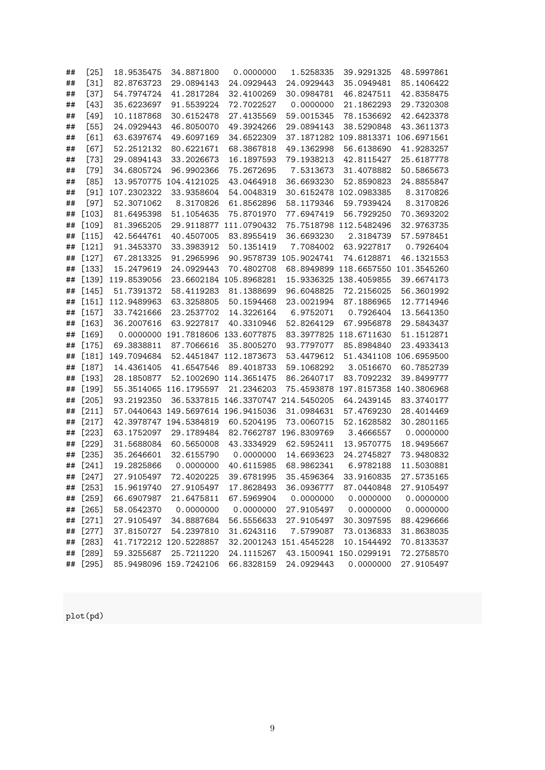| ## | $[25]$   | 18.9535475  | 34.8871800              | 0.0000000   | 1.5258335              | 39.9291325             | 48.5997861  |
|----|----------|-------------|-------------------------|-------------|------------------------|------------------------|-------------|
| ## | $[31]$   | 82.8763723  | 29.0894143              | 24.0929443  | 24.0929443             | 35.0949481             | 85.1406422  |
| ## | $[37]$   | 54.7974724  | 41.2817284              | 32.4100269  | 30.0984781             | 46.8247511             | 42.8358475  |
| ## | $[43]$   | 35.6223697  | 91.5539224              | 72.7022527  | 0.0000000              | 21.1862293             | 29.7320308  |
| ## | $[49]$   | 10.1187868  | 30.6152478              | 27.4135569  | 59.0015345             | 78.1536692             | 42.6423378  |
| ## | $[55]$   | 24.0929443  | 46.8050070              | 49.3924266  | 29.0894143             | 38.5290848             | 43.3611373  |
| ## | [61]     | 63.6397674  | 49.6097169              | 34.6522309  |                        | 37.1871282 109.8813371 | 106.6971561 |
| ## | [67]     | 52.2512132  | 80.6221671              | 68.3867818  | 49.1362998             | 56.6138690             | 41.9283257  |
| ## | $[73]$   | 29.0894143  | 33.2026673              | 16.1897593  | 79.1938213             | 42.8115427             | 25.6187778  |
| ## | $[79]$   | 34.6805724  | 96.9902366              | 75.2672695  | 7.5313673              | 31.4078882             | 50.5865673  |
| ## | [85]     |             | 13.9570775 104.4121025  | 43.0464918  | 36.6693230             | 52.8590823             | 24.8855847  |
| ## | $[91]$   | 107.2302322 | 33.9358604              | 54.0048319  |                        | 30.6152478 102.0983385 | 8.3170826   |
| ## | $[97]$   | 52.3071062  | 8.3170826               | 61.8562896  | 58.1179346             | 59.7939424             | 8.3170826   |
| ## | $[103]$  | 81.6495398  | 51.1054635              | 75.8701970  | 77.6947419             | 56.7929250             | 70.3693202  |
| ## | $[109]$  | 81.3965205  | 29.9118877              | 111.0790432 |                        | 75.7518798 112.5482496 | 32.9763735  |
| ## | $[115]$  | 42.5644761  | 40.4507005              | 83.8955419  | 36.6693230             | 2.3184739              | 57.5978451  |
| ## | $[121]$  | 91.3453370  | 33.3983912              | 50.1351419  | 7.7084002              | 63.9227817             | 0.7926404   |
| ## | $[127]$  | 67.2813325  | 91.2965996              |             | 90.9578739 105.9024741 | 74.6128871             | 46.1321553  |
| ## | $[133]$  | 15.2479619  | 24.0929443              | 70.4802708  |                        | 68.8949899 118.6657550 | 101.3545260 |
| ## | $[139]$  | 119.8539056 | 23.6602184 105.8968281  |             |                        | 15.9336325 138.4059855 | 39.6674173  |
| ## | $[145]$  | 51.7391372  | 58.4119283              | 81.1388699  | 96.6048825             | 72.2156025             | 56.3601992  |
| ## | $[151]$  | 112.9489963 | 63.3258805              | 50.1594468  | 23.0021994             | 87.1886965             | 12.7714946  |
| ## | $[157]$  | 33.7421666  | 23.2537702              | 14.3226164  | 6.9752071              | 0.7926404              | 13.5641350  |
| ## | $[163]$  | 36.2007616  | 63.9227817              | 40.3310946  | 52.8264129             | 67.9956878             | 29.5843437  |
| ## | $[169]$  | 0.0000000   | 191.7818606             | 133.6077875 | 83.3977825             | 118.6711630            | 51.1512871  |
| ## | $[175]$  | 69.3838811  | 87.7066616              | 35.8005270  | 93.7797077             | 85.8984840             | 23.4933413  |
| ## | $[181]$  | 149.7094684 | 52.4451847              | 112.1873673 | 53.4479612             | 51.4341108             | 106.6959500 |
| ## | $[187]$  | 14.4361405  | 41.6547546              | 89.4018733  | 59.1068292             | 3.0516670              | 60.7852739  |
| ## | $[193]$  | 28.1850877  | 52.1002690              | 114.3651475 | 86.2640717             | 83.7092232             | 39.8499777  |
| ## | $[199]$  | 55.3514065  | 116.1795597             | 21.2346203  | 75.4593878             | 197.8157358            | 140.3806968 |
| ## | $[205]$  | 93.2192350  | 36.5337815              | 146.3370747 | 214.5450205            | 64.2439145             | 83.3740177  |
| ## | $[211]$  | 57.0440643  | 149.5697614 196.9415036 |             | 31.0984631             | 57.4769230             | 28.4014469  |
| ## | $[217]$  | 42.3978747  | 194.5384819             | 60.5204195  | 73.0060715             | 52.1628582             | 30.2801165  |
| ## | $[223]$  | 63.1752097  | 29.1789484              | 82.7662787  | 196.8309769            | 3.4666557              | 0.0000000   |
| ## | $[229]$  | 31.5688084  | 60.5650008              | 43.3334929  | 62.5952411             | 13.9570775             | 18.9495667  |
| ## | $[235]$  | 35.2646601  | 32.6155790              | 0.0000000   | 14.6693623             | 24.2745827             | 73.9480832  |
| ## | $[241]$  | 19.2825866  | 0.0000000               | 40.6115985  | 68.9862341             | 6.9782188              | 11.5030881  |
|    | ## [247] | 27.9105497  | 72.4020225              | 39.6781995  | 35.4596364             | 33.9160835             | 27.5735165  |
|    | ## [253] | 15.9619740  | 27.9105497              | 17.8628493  | 36.0936777             | 87.0440848             | 27.9105497  |
| ## | [259]    | 66.6907987  | 21.6475811              | 67.5969904  | 0.0000000              | 0.0000000              | 0.0000000   |
| ## | $[265]$  | 58.0542370  | 0.0000000               | 0.0000000   | 27.9105497             | 0.0000000              | 0.0000000   |
| ## | $[271]$  | 27.9105497  | 34.8887684              | 56.5556633  | 27.9105497             | 30.3097595             | 88.4296666  |
| ## | $[277]$  | 37.8150727  | 54.2397810              | 31.6243116  | 7.5799087              | 73.0136833             | 31.8638035  |
| ## | $[283]$  |             | 41.7172212 120.5228857  |             | 32.2001243 151.4545228 | 10.1544492             | 70.8133537  |
| ## | $[289]$  | 59.3255687  | 25.7211220              | 24.1115267  |                        | 43.1500941 150.0299191 | 72.2758570  |
| ## | [295]    |             | 85.9498096 159.7242106  | 66.8328159  | 24.0929443             | 0.0000000              | 27.9105497  |

plot(pd)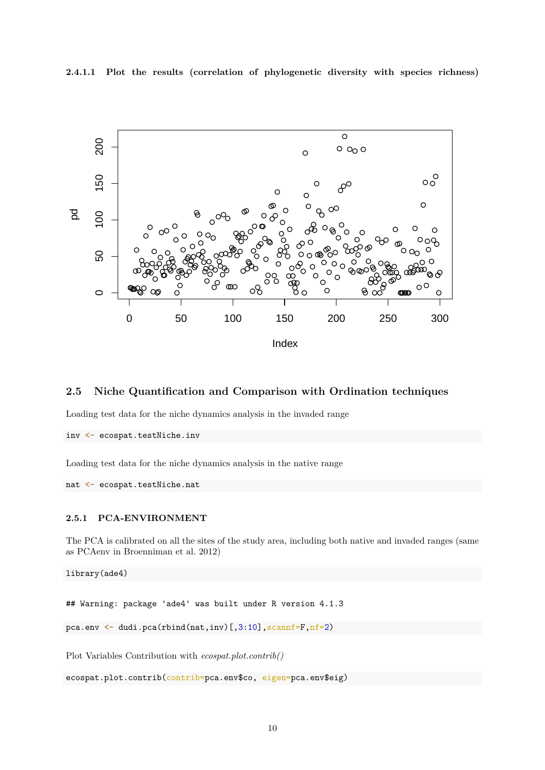**2.4.1.1 Plot the results (correlation of phylogenetic diversity with species richness)**



### <span id="page-9-0"></span>**2.5 Niche Quantification and Comparison with Ordination techniques**

Loading test data for the niche dynamics analysis in the invaded range

```
inv <- ecospat.testNiche.inv
```
Loading test data for the niche dynamics analysis in the native range

```
nat <- ecospat.testNiche.nat
```
#### **2.5.1 PCA-ENVIRONMENT**

The PCA is calibrated on all the sites of the study area, including both native and invaded ranges (same as PCAenv in Broenniman et al. 2012)

library(ade4)

## Warning: package 'ade4' was built under R version 4.1.3

```
pca.env \leq dudi.pca(rbind(nat,inv)[,3:10],scannf=F,nf=2)
```
Plot Variables Contribution with *ecospat.plot.contrib()*

```
ecospat.plot.contrib(contrib=pca.env$co, eigen=pca.env$eig)
```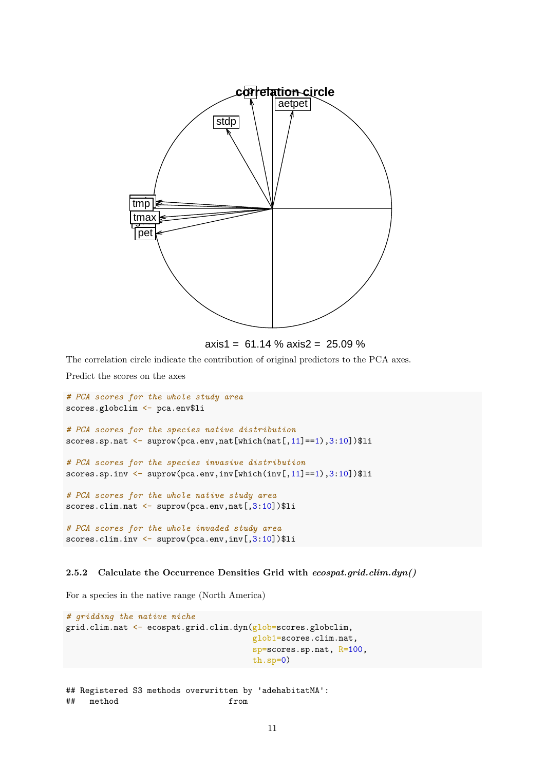

For a species in the native range (North America)

```
# gridding the native niche
grid.clim.nat <- ecospat.grid.clim.dyn(glob=scores.globclim,
                                       glob1=scores.clim.nat,
                                       sp=scores.sp.nat, R=100,
                                       th.sp=0)
```

```
## Registered S3 methods overwritten by 'adehabitatMA':
## method from
```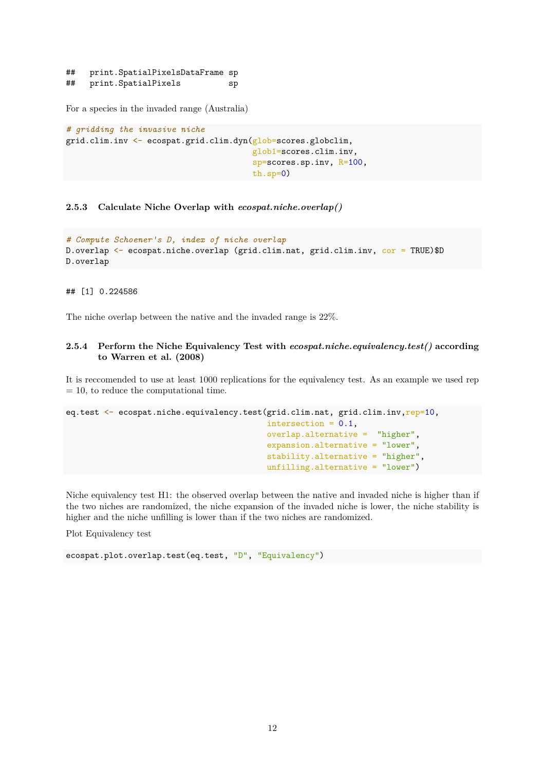## print.SpatialPixelsDataFrame sp ## print.SpatialPixels sp

For a species in the invaded range (Australia)

```
# gridding the invasive niche
grid.clim.inv <- ecospat.grid.clim.dyn(glob=scores.globclim,
                                       glob1=scores.clim.inv,
                                       sp=scores.sp.inv, R=100,
                                        th.sp=0)
```
**2.5.3 Calculate Niche Overlap with** *ecospat.niche.overlap()*

```
# Compute Schoener's D, index of niche overlap
D.overlap <- ecospat.niche.overlap (grid.clim.nat, grid.clim.inv, cor = TRUE)$D
D.overlap
```
## [1] 0.224586

The niche overlap between the native and the invaded range is 22%.

#### **2.5.4 Perform the Niche Equivalency Test with** *ecospat.niche.equivalency.test()* **according to Warren et al. (2008)**

It is reccomended to use at least 1000 replications for the equivalency test. As an example we used rep  $= 10$ , to reduce the computational time.

```
eq.test <- ecospat.niche.equivalency.test(grid.clim.nat, grid.clim.inv,rep=10,
                                          intersection = 0.1,
                                          overlap.alternative = "higher",
                                          expansion.alternative = "lower",
                                          stability.alternative = "higher",
                                          unfilling.alternative = "lower")
```
Niche equivalency test H1: the observed overlap between the native and invaded niche is higher than if the two niches are randomized, the niche expansion of the invaded niche is lower, the niche stability is higher and the niche unfilling is lower than if the two niches are randomized.

Plot Equivalency test

ecospat.plot.overlap.test(eq.test, "D", "Equivalency")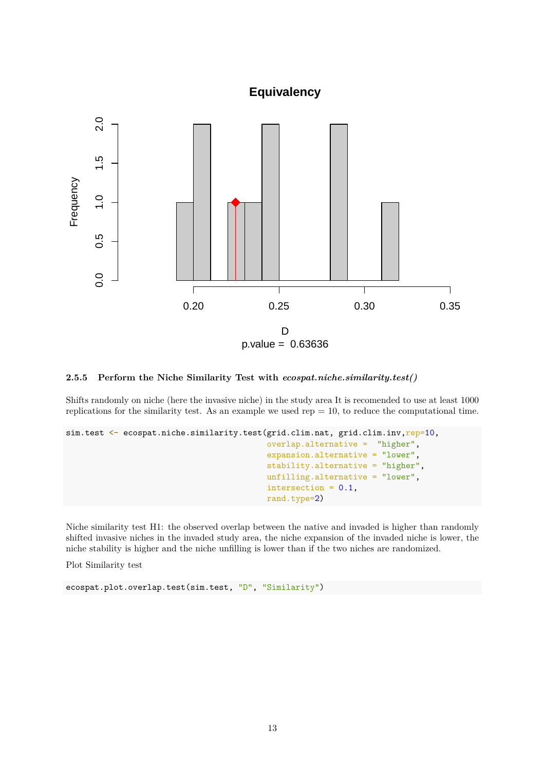# **Equivalency**



#### **2.5.5 Perform the Niche Similarity Test with** *ecospat.niche.similarity.test()*

Shifts randomly on niche (here the invasive niche) in the study area It is recomended to use at least 1000 replications for the similarity test. As an example we used  $rep = 10$ , to reduce the computational time.

```
sim.test <- ecospat.niche.similarity.test(grid.clim.nat, grid.clim.inv,rep=10,
                                          overlap.alternative = "higher",
                                          expansion.alternative = "lower",
                                          stability.alternative = "higher",
                                          unfilling.alternative = "lower",
                                           intersection = 0.1,
                                          rand.type=2)
```
Niche similarity test H1: the observed overlap between the native and invaded is higher than randomly shifted invasive niches in the invaded study area, the niche expansion of the invaded niche is lower, the niche stability is higher and the niche unfilling is lower than if the two niches are randomized.

Plot Similarity test

```
ecospat.plot.overlap.test(sim.test, "D", "Similarity")
```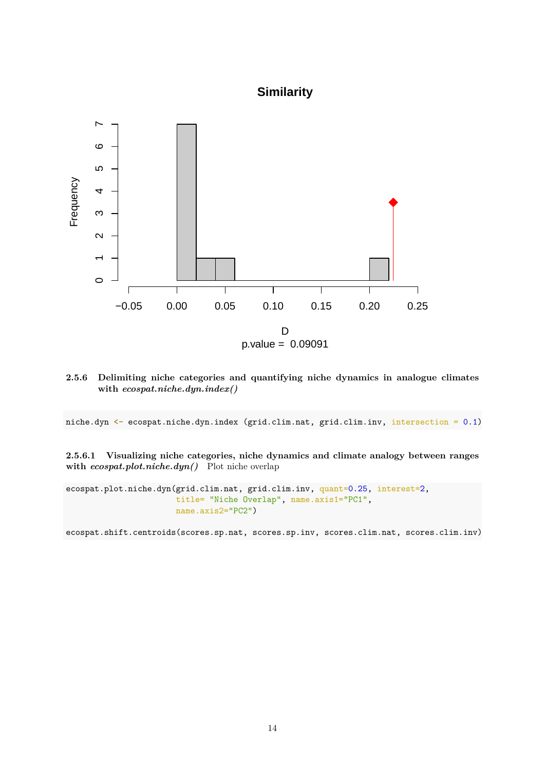# **Similarity**



**2.5.6 Delimiting niche categories and quantifying niche dynamics in analogue climates with** *ecospat.niche.dyn.index()*

niche.dyn <- ecospat.niche.dyn.index (grid.clim.nat, grid.clim.inv, intersection = 0.1)

**2.5.6.1 Visualizing niche categories, niche dynamics and climate analogy between ranges with** *ecospat.plot.niche.dyn()* Plot niche overlap

ecospat.plot.niche.dyn(grid.clim.nat, grid.clim.inv, quant=0.25, interest=2, title= "Niche Overlap", name.axis1="PC1", name.axis2="PC2")

ecospat.shift.centroids(scores.sp.nat, scores.sp.inv, scores.clim.nat, scores.clim.inv)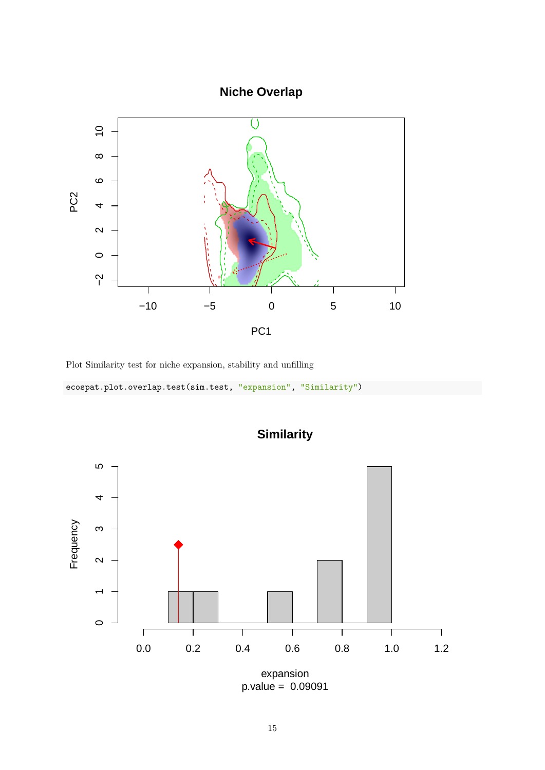**Niche Overlap**



Plot Similarity test for niche expansion, stability and unfilling

| ecospat.plot.overlap.test(sim.test, "expansion", "Similarity") |  |  |
|----------------------------------------------------------------|--|--|
|----------------------------------------------------------------|--|--|



**Similarity**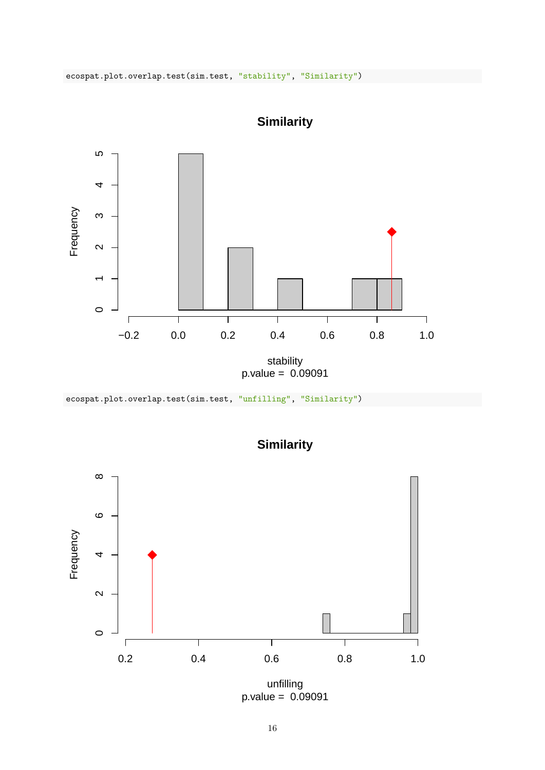

**Similarity**

ecospat.plot.overlap.test(sim.test, "unfilling", "Similarity")



**Similarity**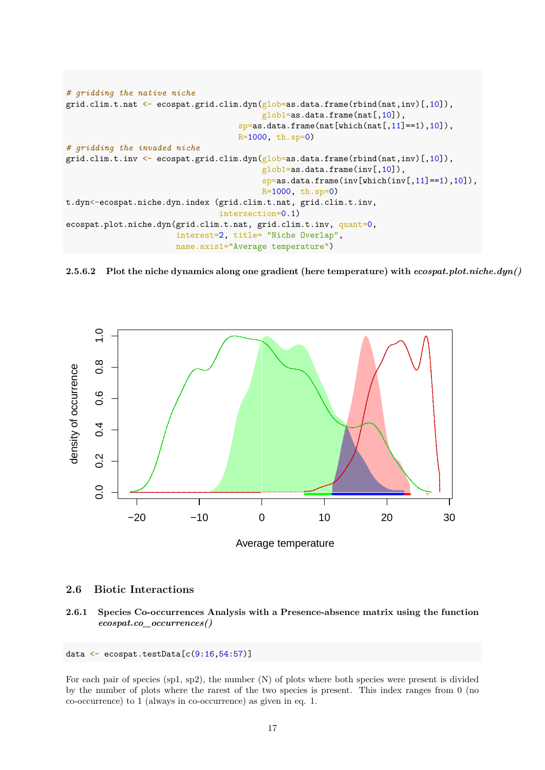```
# gridding the native niche
grid.clim.t.nat <- ecospat.grid.clim.dyn(glob=as.data.frame(rbind(nat,inv)[,10]),
                                         glob1=as.data.frame(nat[,10]),
                                    sp=as.data.frame(nat[which(nat[,11]==1),10]),
                                    R=1000, th.sp=0)
# gridding the invaded niche
grid.clim.t.inv <- ecospat.grid.clim.dyn(glob=as.data.frame(rbind(nat,inv)[,10]),
                                         glob1=as.data.frame(inv[,10]),
                                         sp=as.data.frame(inv[which(inv[,11]==1),10]),
                                         R=1000, th.sp=0)
t.dyn<-ecospat.niche.dyn.index (grid.clim.t.nat, grid.clim.t.inv,
                                intersection=0.1)
ecospat.plot.niche.dyn(grid.clim.t.nat, grid.clim.t.inv, quant=0,
                       interest=2, title= "Niche Overlap",
                       name.axis1="Average temperature")
```
**2.5.6.2 Plot the niche dynamics along one gradient (here temperature) with** *ecospat.plot.niche.dyn()*



#### <span id="page-16-0"></span>**2.6 Biotic Interactions**

**2.6.1 Species Co-occurrences Analysis with a Presence-absence matrix using the function** *ecospat.co\_occurrences()*

```
data \leq ecospat.testData[c(9:16,54:57)]
```
For each pair of species  $(\text{sp1}, \text{sp2})$ , the number  $(N)$  of plots where both species were present is divided by the number of plots where the rarest of the two species is present. This index ranges from 0 (no co-occurrence) to 1 (always in co-occurrence) as given in eq. 1.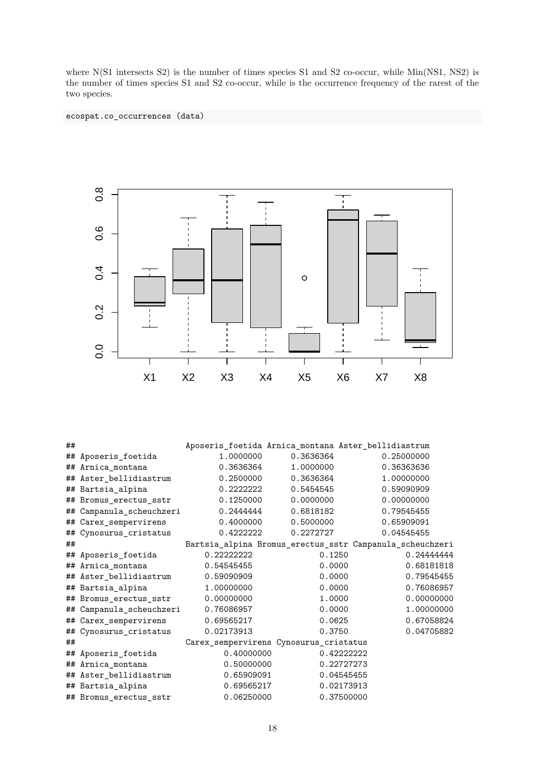where N(S1 intersects S2) is the number of times species S1 and S2 co-occur, while Min(NS1, NS2) is the number of times species S1 and S2 co-occur, while is the occurrence frequency of the rarest of the two species.

### ecospat.co\_occurrences (data)



| ## |                        |            | Aposeris_foetida Arnica_montana Aster_bellidiastrum |                                                          |
|----|------------------------|------------|-----------------------------------------------------|----------------------------------------------------------|
| ## | Aposeris_foetida       | 1.0000000  | 0.3636364                                           | 0.25000000                                               |
| ## | Arnica_montana         | 0.3636364  | 1.0000000                                           | 0.36363636                                               |
|    | ## Aster_bellidiastrum | 0.2500000  | 0.3636364                                           | 1.00000000                                               |
|    | ## Bartsia_alpina      | 0.2222222  | 0.5454545                                           | 0.59090909                                               |
|    | ## Bromus erectus sstr | 0.1250000  | 0.0000000                                           | 0.00000000                                               |
| ## | Campanula_scheuchzeri  | 0.2444444  | 0.6818182                                           | 0.79545455                                               |
|    | ## Carex_sempervirens  | 0.4000000  | 0.5000000                                           | 0.65909091                                               |
| ## | Cynosurus_cristatus    | 0.4222222  | 0.2272727                                           | 0.04545455                                               |
| ## |                        |            |                                                     | Bartsia_alpina Bromus_erectus_sstr Campanula_scheuchzeri |
|    | ## Aposeris_foetida    | 0.22222222 | 0.1250                                              | 0.24444444                                               |
|    | ## Arnica_montana      | 0.54545455 | 0.0000                                              | 0.68181818                                               |
|    | ## Aster_bellidiastrum | 0.59090909 | 0.0000                                              | 0.79545455                                               |
|    | ## Bartsia_alpina      | 1.00000000 | 0.0000                                              | 0.76086957                                               |
|    | ## Bromus_erectus_sstr | 0.00000000 | 1.0000                                              | 0.00000000                                               |
| ## | Campanula_scheuchzeri  | 0.76086957 | 0.0000                                              | 1.00000000                                               |
|    | ## Carex_sempervirens  | 0.69565217 | 0.0625                                              | 0.67058824                                               |
|    | ## Cynosurus_cristatus | 0.02173913 | 0.3750                                              | 0.04705882                                               |
| ## |                        |            | Carex_sempervirens Cynosurus_cristatus              |                                                          |
| ## | Aposeris_foetida       | 0.40000000 | 0.42222222                                          |                                                          |
| ## | Arnica_montana         | 0.50000000 | 0.22727273                                          |                                                          |
|    | ## Aster_bellidiastrum | 0.65909091 | 0.04545455                                          |                                                          |
|    | ## Bartsia_alpina      | 0.69565217 | 0.02173913                                          |                                                          |
|    | ## Bromus_erectus_sstr | 0.06250000 | 0.37500000                                          |                                                          |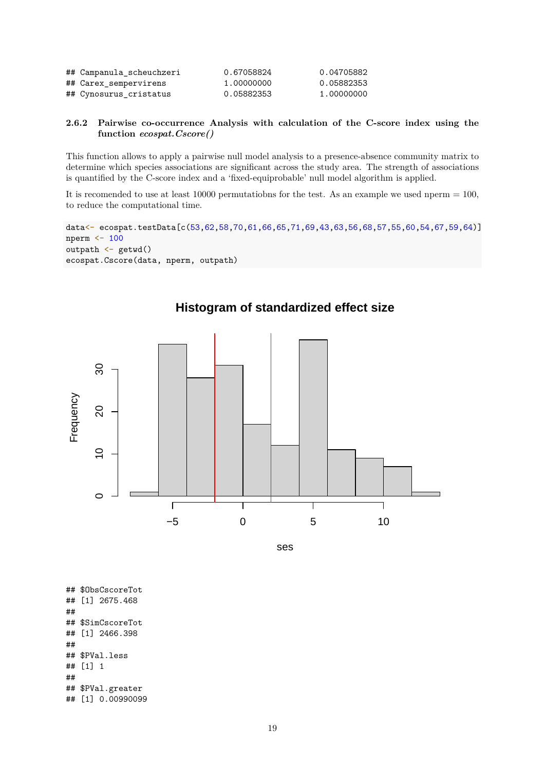| ## Campanula_scheuchzeri | 0.67058824 | 0.04705882 |
|--------------------------|------------|------------|
| ## Carex_sempervirens    | 1.00000000 | 0.05882353 |
| ## Cynosurus cristatus   | 0.05882353 | 1.00000000 |

#### **2.6.2 Pairwise co-occurrence Analysis with calculation of the C-score index using the function** *ecospat.Cscore()*

This function allows to apply a pairwise null model analysis to a presence-absence community matrix to determine which species associations are significant across the study area. The strength of associations is quantified by the C-score index and a 'fixed-equiprobable' null model algorithm is applied.

It is recomended to use at least 10000 permutatiobns for the test. As an example we used nperm  $= 100$ , to reduce the computational time.

```
data<- ecospat.testData[c(53,62,58,70,61,66,65,71,69,43,63,56,68,57,55,60,54,67,59,64)]
nperm <- 100
outpath <- getwd()
ecospat.Cscore(data, nperm, outpath)
```


**Histogram of standardized effect size**

ses

## \$ObsCscoreTot ## [1] 2675.468 ## ## \$SimCscoreTot ## [1] 2466.398 ## ## \$PVal.less ## [1] 1 ## ## \$PVal.greater ## [1] 0.00990099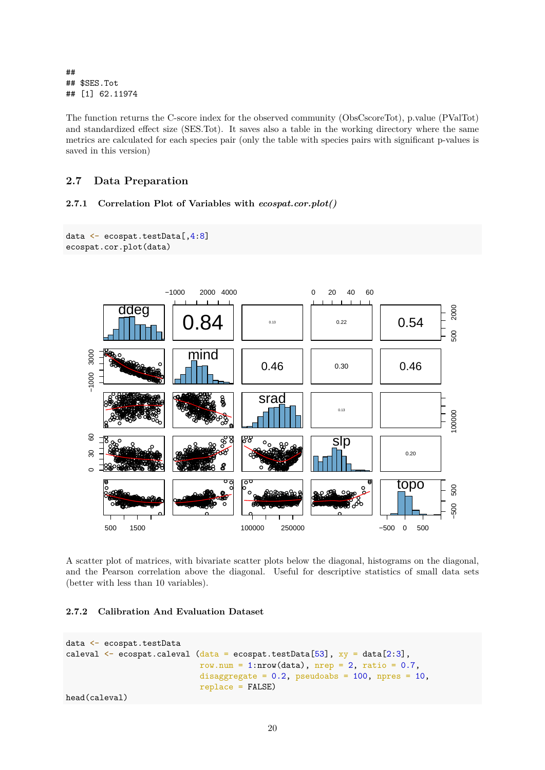## ## \$SES.Tot ## [1] 62.11974

The function returns the C-score index for the observed community (ObsCscoreTot), p.value (PValTot) and standardized effect size (SES.Tot). It saves also a table in the working directory where the same metrics are calculated for each species pair (only the table with species pairs with significant p-values is saved in this version)

### <span id="page-19-0"></span>**2.7 Data Preparation**

#### **2.7.1 Correlation Plot of Variables with** *ecospat.cor.plot()*

```
data <- ecospat.testData[,4:8]
ecospat.cor.plot(data)
```


A scatter plot of matrices, with bivariate scatter plots below the diagonal, histograms on the diagonal, and the Pearson correlation above the diagonal. Useful for descriptive statistics of small data sets (better with less than 10 variables).

### **2.7.2 Calibration And Evaluation Dataset**

```
data <- ecospat.testData
caleval \leq ecospat.caleval (data = ecospat.testData[53], xy = data[2:3],
                            row.num = 1:nrow(data), nrep = 2, ratio = 0.7,
                            disaggregate = 0.2, pseudoabs = 100, npres = 10,
                            replace = FALSE)
```
head(caleval)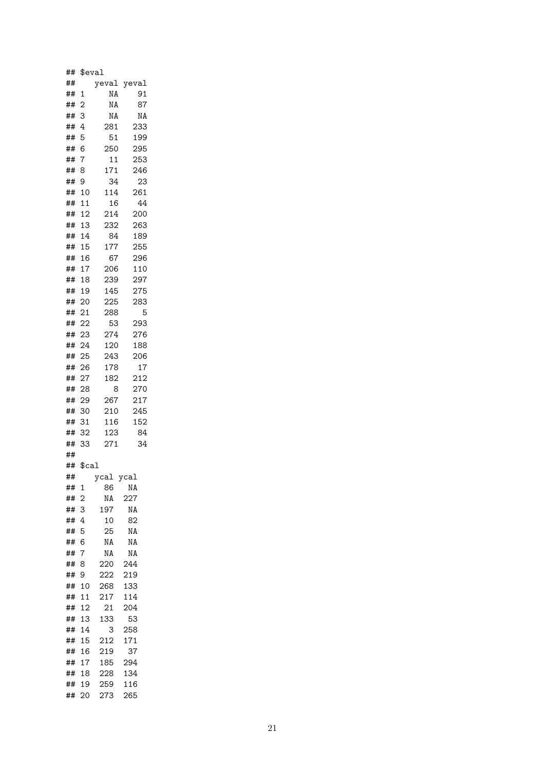| ## | \$eval         |       |       |
|----|----------------|-------|-------|
| ## |                | yeval | yeval |
| ## | 1              | ΝA    | 91    |
| ## | $\overline{2}$ | ΝA    | 87    |
| ## | 3              | ΝA    | NA    |
| ## | 4              | 281   | 233   |
| ## | 5              | 51    | 199   |
| ## | 6              | 250   | 295   |
| ## | $\overline{7}$ | 11    | 253   |
| ## | 8              | 171   | 246   |
| ## | 9              | 34    | 23    |
| ## | 10             | 114   | 261   |
| ## | 11             | 16    | 44    |
| ## | 12             | 214   | 200   |
| ## | 13             | 232   | 263   |
| ## | 14             | 84    | 189   |
| ## | 15             | 177   | 255   |
| ## | 16             | 67    | 296   |
| ## | 17             | 206   | 110   |
| ## | 18             | 239   | 297   |
| ## | 19             | 145   | 275   |
| ## | 20             | 225   | 283   |
| ## | 21             | 288   | 5     |
| ## | 22             | 53    | 293   |
| ## | 23             | 274   | 276   |
| ## | 24             | 120   | 188   |
| ## | 25             | 243   | 206   |
| ## | 26             | 178   | 17    |
| ## | 27             | 182   | 212   |
| ## | 28             | 8     | 270   |
| ## | 29             | 267   | 217   |
| ## | 30             | 210   | 245   |
| ## | 31             | 116   | 152   |
| ## | 32             | 123   | 84    |
| ## | 33             | 271   | 34    |
| ## |                |       |       |
| ## | $\$$ cal       |       |       |
| ## |                | ycal  | ycal  |
| ## | 1              | 86    | ΝA    |
| ## | $\overline{c}$ | ΝA    | 227   |
| ## | 3              | 197   | ΝA    |
| ## | 4              | 10    | 82    |
| ## | 5              | 25    | ΝA    |
| ## | 6              | ΝA    | ΝA    |
| ## | 7              | ΝA    | ΝA    |
| ## | 8              | 220   | 244   |
| ## | 9              | 222   | 219   |
| ## | 10             | 268   | 133   |
| ## | 11             | 217   | 114   |
| ## | 12             | 21    | 204   |
| ## | 13             | 133   | 53    |
| ## | 14             | 3     | 258   |
| ## | 15             | 212   | 171   |
| ## | 16             | 219   | 37    |
| ## | 17             | 185   | 294   |
| ## | 18             | 228   | 134   |
| ## | 19             | 259   | 116   |
| ## | 20             | 273   | 265   |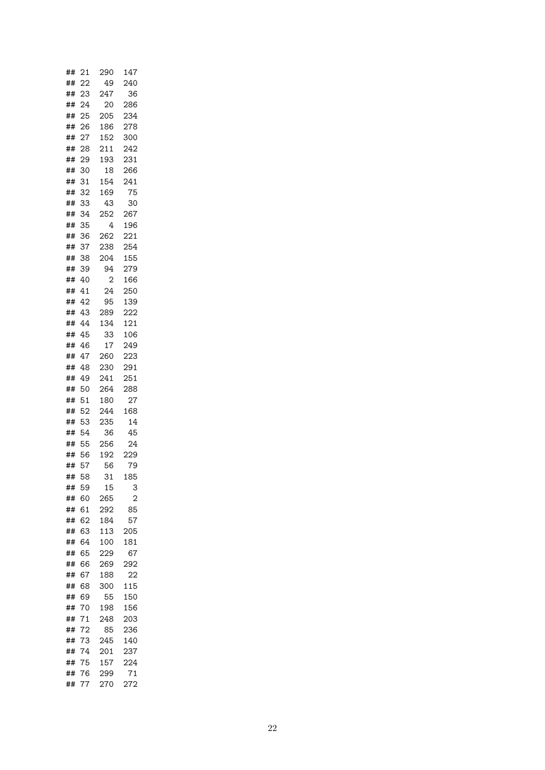| ## | 21 | 290      | 147 |
|----|----|----------|-----|
| ## | 22 | 49       | 240 |
| ## | 23 | 247      | 36  |
| ## | 24 | 20       | 286 |
| ## | 25 | 205      | 234 |
| ## | 26 | 186      | 278 |
| ## | 27 | 152      | 300 |
| ## | 28 | 211      | 242 |
| ## | 29 | 193      | 231 |
| ## | 30 | 18       | 266 |
| ## | 31 | 154      | 241 |
| ## | 32 | 169      | 75  |
| ## | 33 | 43       | 30  |
| ## | 34 | 252      | 267 |
| ## | 35 | 4        | 196 |
| ## | 36 | 262      | 221 |
| ## | 37 | 238      | 254 |
| ## | 38 | 204      | 155 |
| ## | 39 | 94       | 279 |
|    | 40 | 2        | 166 |
| ## |    |          |     |
| ## | 41 | 24<br>95 | 250 |
| ## | 42 |          | 139 |
| ## | 43 | 289      | 222 |
| ## | 44 | 134      | 121 |
| ## | 45 | 33       | 106 |
| ## | 46 | 17       | 249 |
| ## | 47 | 260      | 223 |
| ## | 48 | 230      | 291 |
| ## | 49 | 241      | 251 |
| ## | 50 | 264      | 288 |
| ## | 51 | 180      | 27  |
| ## | 52 | 244      | 168 |
| ## | 53 | 235      | 14  |
| ## | 54 | 36       | 45  |
| ## | 55 | 256      | 24  |
| ## | 56 | 192      | 229 |
| ## | 57 | 56       | 79  |
| ## | 58 | 31       | 185 |
| ## | 59 | 15       | 3   |
| ## | 60 | 265      | 2   |
| ## | 61 | 292      | 85  |
| ## | 62 | 184      | 57  |
| ## | 63 | 113      | 205 |
| ## | 64 | 100      | 181 |
| ## | 65 | 229      | 67  |
| ## | 66 | 269      | 292 |
| ## | 67 | 188      | 22  |
| ## | 68 | 300      | 115 |
| ## | 69 | 55       | 150 |
| ## | 70 | 198      | 156 |
| ## | 71 | 248      | 203 |
| ## | 72 | 85       | 236 |
| ## | 73 | 245      | 140 |
| ## | 74 | 201      | 237 |
| ## | 75 | 157      | 224 |
| ## | 76 | 299      | 71  |
| ## | 77 | 270      | 272 |
|    |    |          |     |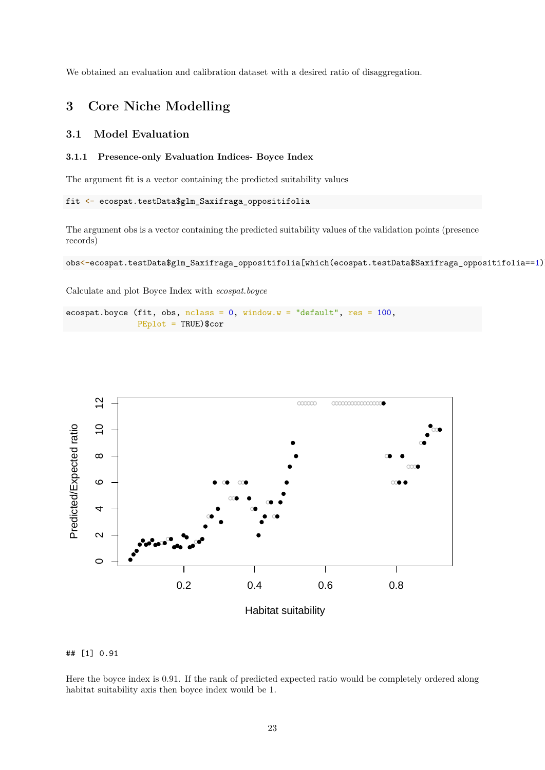We obtained an evaluation and calibration dataset with a desired ratio of disaggregation.

# <span id="page-22-0"></span>**3 Core Niche Modelling**

### <span id="page-22-1"></span>**3.1 Model Evaluation**

#### **3.1.1 Presence-only Evaluation Indices- Boyce Index**

The argument fit is a vector containing the predicted suitability values

```
fit <- ecospat.testData$glm_Saxifraga_oppositifolia
```
The argument obs is a vector containing the predicted suitability values of the validation points (presence records)

obs<-ecospat.testData\$glm\_Saxifraga\_oppositifolia[which(ecospat.testData\$Saxifraga\_oppositifolia==1)

Calculate and plot Boyce Index with *ecospat.boyce*

```
ecospat.boyce (fit, obs, nclass = 0, window.w = "default", res = 100,
               PEplot = TRUE)$cor
```




Here the boyce index is 0.91. If the rank of predicted expected ratio would be completely ordered along habitat suitability axis then boyce index would be 1.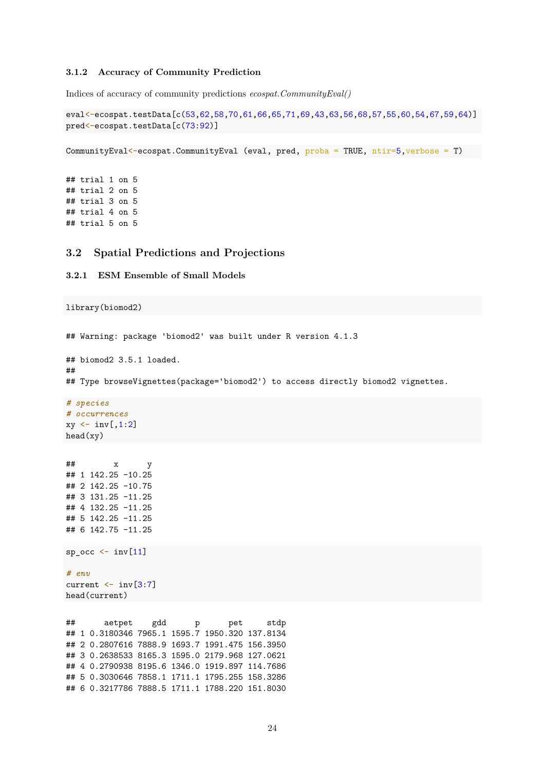#### **3.1.2 Accuracy of Community Prediction**

Indices of accuracy of community predictions *ecospat.CommunityEval()*

```
eval<-ecospat.testData[c(53,62,58,70,61,66,65,71,69,43,63,56,68,57,55,60,54,67,59,64)]
pred<-ecospat.testData[c(73:92)]
```
CommunityEval<-ecospat.CommunityEval (eval, pred, proba = TRUE, ntir=5,verbose = T)

## trial 1 on 5 ## trial 2 on 5 ## trial 3 on 5 ## trial 4 on 5 ## trial 5 on 5

library(biomod2)

#### <span id="page-23-0"></span>**3.2 Spatial Predictions and Projections**

**3.2.1 ESM Ensemble of Small Models**

```
## Warning: package 'biomod2' was built under R version 4.1.3
## biomod2 3.5.1 loaded.
##
## Type browseVignettes(package='biomod2') to access directly biomod2 vignettes.
# species
# occurrences
xy \leftarrow inv[, 1:2]head(xy)
## x y
## 1 142.25 -10.25
## 2 142.25 -10.75
## 3 131.25 -11.25
## 4 132.25 -11.25
## 5 142.25 -11.25
## 6 142.75 -11.25
sp\_occ \leftarrow inv[11]# env
current <- inv[3:7]
head(current)
## aetpet gdd p pet stdp
## 1 0.3180346 7965.1 1595.7 1950.320 137.8134
## 2 0.2807616 7888.9 1693.7 1991.475 156.3950
## 3 0.2638533 8165.3 1595.0 2179.968 127.0621
## 4 0.2790938 8195.6 1346.0 1919.897 114.7686
## 5 0.3030646 7858.1 1711.1 1795.255 158.3286
## 6 0.3217786 7888.5 1711.1 1788.220 151.8030
```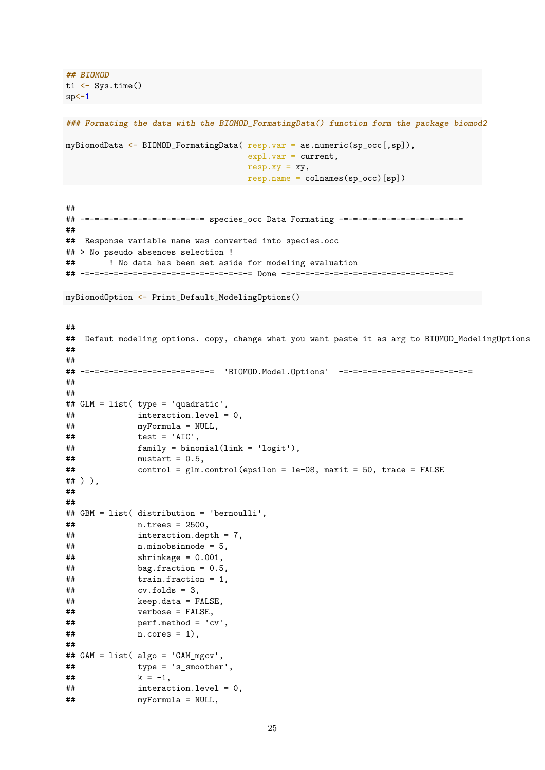**## BIOMOD**  $t1$  <- Sys.time()  $sp<-1$ 

```
### Formating the data with the BIOMOD_FormatingData() function form the package biomod2
```

```
myBiomodData <- BIOMOD_FormatingData( resp.var = as.numeric(sp_occ[,sp]),
                                      exp1.var = current,resp. xy = xy,resp.name = colnames(sp_occ)[sp])
```
## ## -=-=-=-=-=-=-=-=-=-=-=-=-= species\_occ Data Formating -=-=-=-=-=-=-=-=-=-=-=-=-= ## ## Response variable name was converted into species.occ ## > No pseudo absences selection ! ## ! No data has been set aside for modeling evaluation ## -=-=-=-=-=-=-=-=-=-=-=-=-=-=-=-=-=-= Done -=-=-=-=-=-=-=-=-=-=-=-=-=-=-=-=-=-=

myBiomodOption <- Print\_Default\_ModelingOptions()

```
##
## Defaut modeling options. copy, change what you want paste it as arg to BIOMOD_ModelingOptions
##
##
## -=-=-=-=-=-=-=-=-=-=-=-=-=-= 'BIOMOD.Model.Options' -=-=-=-=-=-=-=-=-=-=-=-=-=-=
##
##
## GLM = list( type = 'quadratic',
## interaction.level = 0,
## myFormula = NULL,
\# \# test = 'AIC',
## family = binomial(link = 'logit'),
\text{#} \text{mustart} = 0.5,
## control = glm.control(epsilon = 1e-08, maxit = 50, trace = FALSE
## ) ),
##
##
## GBM = list( distribution = 'bernoulli',
## n.trees = 2500,
## interaction.depth = 7,
## n.minobsinnode = 5,
\## \# shrinkage = 0.001,
\# bag.fraction = 0.5,
## train.fraction = 1,
\# \# \qquad \qquad \text{cv.folds} = 3,## keep.data = FALSE,
## verbose = FALSE,
## perf.method = 'cv',
## n.cores = 1),
##
## GAM = list( algo = 'GAM_mgcv',
## type = 's smoother',
## k = -1,
## interaction.level = 0,
## myFormula = NULL,
```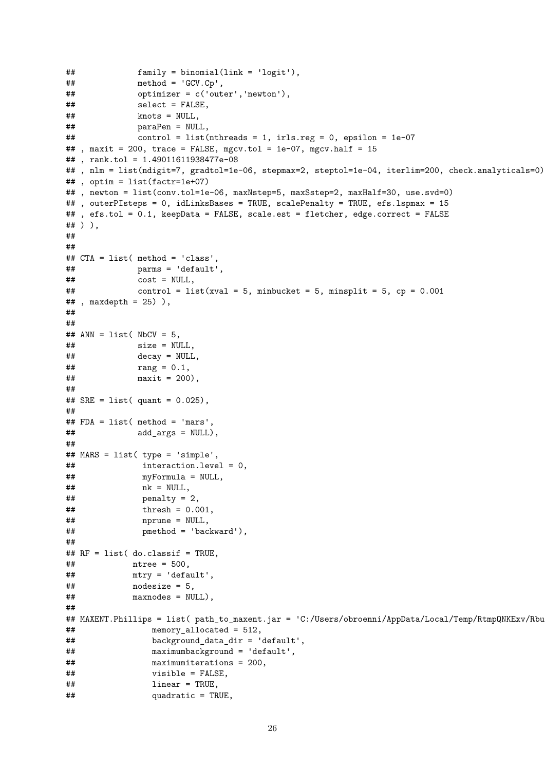```
## family = binomial(link = 'logit'),
\# \# method = 'GCV.Cp',
## optimizer = c('outer','newton'),
## select = FALSE,
## knots = NULL,
## paraPen = NULL,
## control = list(nthreads = 1, irls.reg = 0, epsilon = 1e-07
##, maxit = 200, trace = FALSE, mgcv.tol = 1e-07, mgcv.half = 15
## , rank.tol = 1.49011611938477e-08
## , nlm = list(ndigit=7, gradtol=1e-06, stepmax=2, steptol=1e-04, iterlim=200, check.analyticals=0)
## , optim = list(factr=1e+07)
##, newton = list(conv.tol=1e-06, maxNstep=5, maxSstep=2, maxHalf=30, use.svd=0)
## , outerPIsteps = 0, idLinksBases = TRUE, scalePenalty = TRUE, efs.lspmax = 15
## , efs.tol = 0.1, keepData = FALSE, scale.est = fletcher, edge.correct = FALSE
## ) ),
##
##
## CTA = list( method = 'class',
## parms = 'default',
\# \# \qquad \qquad \qquad \qquad \qquad \qquad \qquad \qquad \qquad \qquad \qquad \qquad \qquad \qquad \qquad \qquad \qquad \qquad \qquad \qquad \qquad \qquad \qquad \qquad \qquad \qquad \qquad \qquad \qquad \qquad \qquad \qquad \qquad \qquad \qquad \qquad \qquad \qquad \qquad \qquad \qquad \qquad \qquad \qquad \qquad \qquad \qquad## control = list(xval = 5, minbucket = 5, minsplit = 5, cp = 0.001\# , maxdepth = 25) ),
##
##
\## ANN = list( NbCV = 5,
\# \# size = NULL,
## decay = NULL,
## rang = 0.1.
\# \# maxit = 200),
##
## SRE = list( quant = 0.025),
##
## FDA = list( method = 'mars',
## add_args = NULL),
##
## MARS = list( type = 'simple',
## interaction.level = 0,
## myFormula = NULL,
## nk = NULL,
\# # \qquad \qquad penalty = 2,
## thresh = 0.001,
## nprune = NULL,
## pmethod = 'backward'),
##
## RF = list( do.classif = TRUE,
## ntree = 500,
## mtry = 'default',
\# \# nodesize = 5,
## maxnodes = NULL),
##
## MAXENT.Phillips = list( path_to_maxent.jar = 'C:/Users/obroenni/AppData/Local/Temp/RtmpQNKExv/Rbu
## memory_allocated = 512,
## background_data_dir = 'default',
## maximumbackground = 'default',
## maximumiterations = 200,
## visible = FALSE,
## linear = TRUE,
## quadratic = TRUE,
```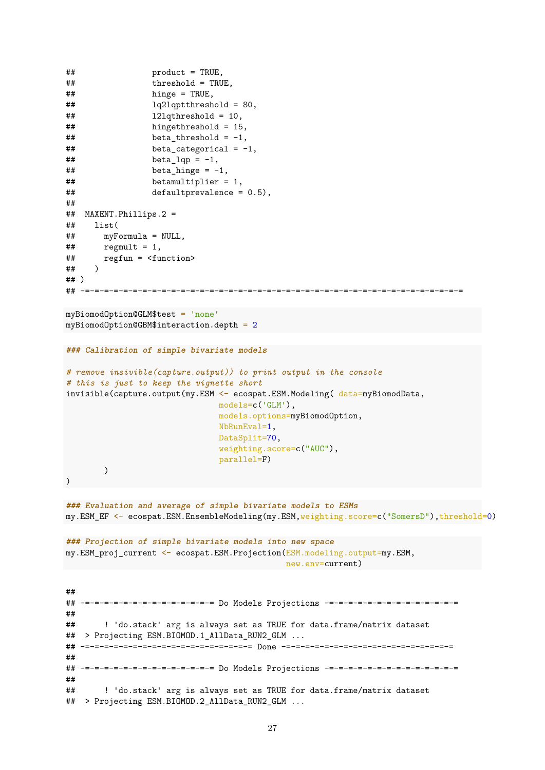```
## product = TRUE,
## threshold = TRUE,
## hinge = TRUE,
## lq2lqptthreshold = 80,
## l2lqthreshold = 10,
## hingethreshold = 15,
\# beta_threshold = -1,
\# beta categorical = -1,
\# \# beta_lqp = -1,
\# beta_hinge = -1,
## betamultiplier = 1,
## defaultprevalence = 0.5),
##
## MAXENT.Phillips.2 =
## list(
## myFormula = NULL,
\# regmult = 1,
## regfun = <function>
## )
## )
## -=-=-=-=-=-=-=-=-=-=-=-=-=-=-=-=-=-=-=-=-=-=-=-=-=-=-=-=-=-=-=-=-=-=-=-=-=-=-=-=
myBiomodOption@GLM$test = 'none'
myBiomodOption@GBM$interaction.depth = 2
### Calibration of simple bivariate models
# remove insivible(capture.output)) to print output in the console
# this is just to keep the vignette short
invisible(capture.output(my.ESM <- ecospat.ESM.Modeling( data=myBiomodData,
                            models=c('GLM'),
                            models.options=myBiomodOption,
                            NbRunEval=1,
                            DataSplit=70,
                            weighting.score=c("AUC"),
                            parallel=F)
       )
)
### Evaluation and average of simple bivariate models to ESMs
my.ESM_EF <- ecospat.ESM.EnsembleModeling(my.ESM,weighting.score=c("SomersD"),threshold=0)
### Projection of simple bivariate models into new space
my.ESM_proj_current <- ecospat.ESM.Projection(ESM.modeling.output=my.ESM,
                                         new.env=current)
##
## -=-=-=-=-=-=-=-=-=-=-=-=-=-= Do Models Projections -=-=-=-=-=-=-=-=-=-=-=-=-=-=
##
## ! 'do.stack' arg is always set as TRUE for data.frame/matrix dataset
## > Projecting ESM.BIOMOD.1 AllData RUN2 GLM ...
## -=-=-=-=-=-=-=-=-=-=-=-=-=-=-=-=-=-= Done -=-=-=-=-=-=-=-=-=-=-=-=-=-=-=-=-=-=
##
## -=-=-=-=-=-=-=-=-=-=-=-=-=-= Do Models Projections -=-=-=-=-=-=-=-=-=-=-=-=-=-=
##
## ! 'do.stack' arg is always set as TRUE for data.frame/matrix dataset
## > Projecting ESM.BIOMOD.2_AllData_RUN2_GLM ...
```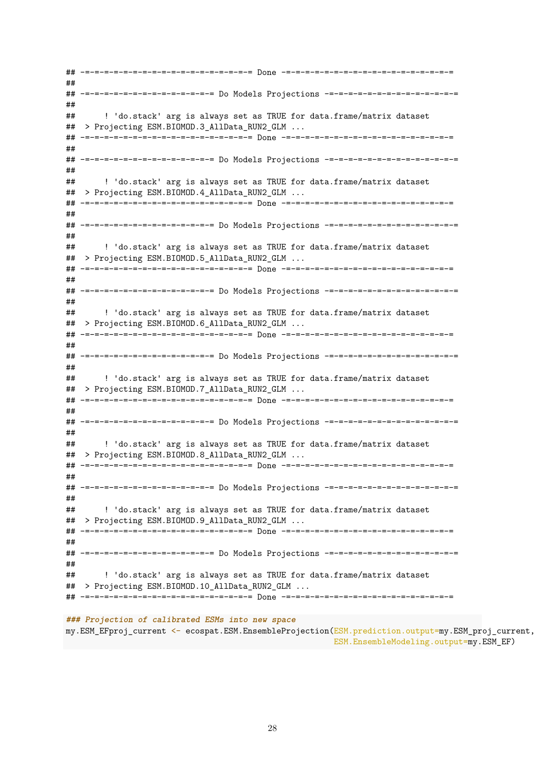## -=-=-=-=-=-=-=-=-=-=-=-=-=-=-=-=-=-= Done -=-=-=-=-=-=-=-=-=-=-=-=-=-=-=-=-=-= ## ## -=-=-=-=-=-=-=-=-=-=-=-=-=-= Do Models Projections -=-=-=-=-=-=-=-=-=-=-=-=-=-= ## ## ! 'do.stack' arg is always set as TRUE for data.frame/matrix dataset ## > Projecting ESM.BIOMOD.3\_AllData\_RUN2\_GLM ... ## -=-=-=-=-=-=-=-=-=-=-=-=-=-=-=-=-=-= Done -=-=-=-=-=-=-=-=-=-=-=-=-=-=-=-=-=-= ## ## -=-=-=-=-=-=-=-=-=-=-=-=-=-= Do Models Projections -=-=-=-=-=-=-=-=-=-=-=-=-=-= ## ## ! 'do.stack' arg is always set as TRUE for data.frame/matrix dataset ## > Projecting ESM.BIOMOD.4\_AllData\_RUN2\_GLM ... ## -=-=-=-=-=-=-=-=-=-=-=-=-=-=-=-=-=-= Done -=-=-=-=-=-=-=-=-=-=-=-=-=-=-=-=-=-= ## ## -=-=-=-=-=-=-=-=-=-=-=-=-=-= Do Models Projections -=-=-=-=-=-=-=-=-=-=-=-=-=-= ## ## ! 'do.stack' arg is always set as TRUE for data.frame/matrix dataset ## > Projecting ESM.BIOMOD.5 AllData RUN2 GLM ... ## -=-=-=-=-=-=-=-=-=-=-=-=-=-=-=-=-=-= Done -=-=-=-=-=-=-=-=-=-=-=-=-=-=-=-=-=-= ## ## -=-=-=-=-=-=-=-=-=-=-=-=-=-= Do Models Projections -=-=-=-=-=-=-=-=-=-=-=-=-=-= ## ## ! 'do.stack' arg is always set as TRUE for data.frame/matrix dataset ## > Projecting ESM.BIOMOD.6\_AllData\_RUN2\_GLM ... ## -=-=-=-=-=-=-=-=-=-=-=-=-=-=-=-=-=-= Done -=-=-=-=-=-=-=-=-=-=-=-=-=-=-=-=-=-= ## ## -=-=-=-=-=-=-=-=-=-=-=-=-=-= Do Models Projections -=-=-=-=-=-=-=-=-=-=-=-=-=-= ## ## ! 'do.stack' arg is always set as TRUE for data.frame/matrix dataset ## > Projecting ESM.BIOMOD.7\_AllData\_RUN2\_GLM ... ## -=-=-=-=-=-=-=-=-=-=-=-=-=-=-=-=-=-= Done -=-=-=-=-=-=-=-=-=-=-=-=-=-=-=-=-=-= ## ## -=-=-=-=-=-=-=-=-=-=-=-=-=-= Do Models Projections -=-=-=-=-=-=-=-=-=-=-=-=-=-= ## ## ! 'do.stack' arg is always set as TRUE for data.frame/matrix dataset ## > Projecting ESM.BIOMOD.8\_AllData\_RUN2\_GLM ... ## -=-=-=-=-=-=-=-=-=-=-=-=-=-=-=-=-=-= Done -=-=-=-=-=-=-=-=-=-=-=-=-=-=-=-=-=-= ## ## -=-=-=-=-=-=-=-=-=-=-=-=-=-= Do Models Projections -=-=-=-=-=-=-=-=-=-=-=-=-=-= ## ## ! 'do.stack' arg is always set as TRUE for data.frame/matrix dataset ## > Projecting ESM.BIOMOD.9\_AllData\_RUN2\_GLM ... ## -=-=-=-=-=-=-=-=-=-=-=-=-=-=-=-=-=-= Done -=-=-=-=-=-=-=-=-=-=-=-=-=-=-=-=-=-= ## ## -=-=-=-=-=-=-=-=-=-=-=-=-=-= Do Models Projections -=-=-=-=-=-=-=-=-=-=-=-=-=-= ## ## ! 'do.stack' arg is always set as TRUE for data.frame/matrix dataset ## > Projecting ESM.BIOMOD.10\_AllData\_RUN2\_GLM ... ## -=-=-=-=-=-=-=-=-=-=-=-=-=-=-=-=-=-= Done -=-=-=-=-=-=-=-=-=-=-=-=-=-=-=-=-=-=

#### **### Projection of calibrated ESMs into new space**

my.ESM\_EFproj\_current <- ecospat.ESM.EnsembleProjection(ESM.prediction.output=my.ESM\_proj\_current, ESM.EnsembleModeling.output=my.ESM\_EF)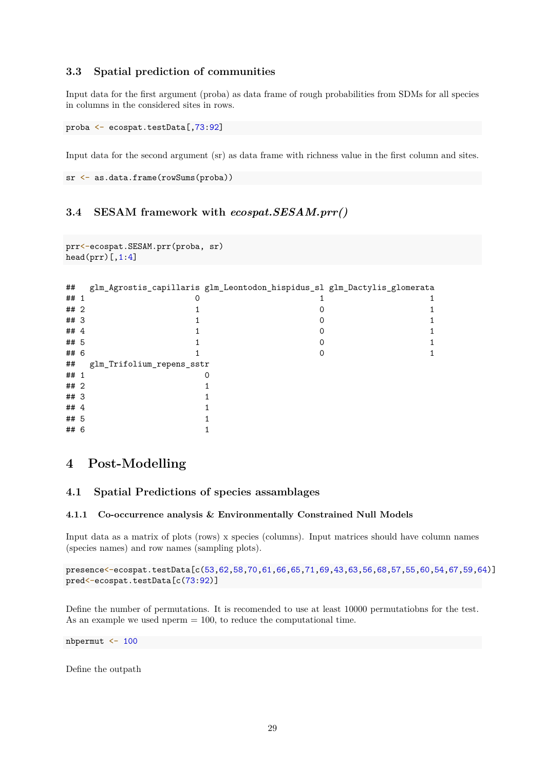## <span id="page-28-0"></span>**3.3 Spatial prediction of communities**

Input data for the first argument (proba) as data frame of rough probabilities from SDMs for all species in columns in the considered sites in rows.

```
proba <- ecospat.testData[,73:92]
```
Input data for the second argument (sr) as data frame with richness value in the first column and sites.

```
sr <- as.data.frame(rowSums(proba))
```
# <span id="page-28-1"></span>**3.4 SESAM framework with** *ecospat.SESAM.prr()*

```
prr<-ecospat.SESAM.prr(proba, sr)
head(prr)[,1:4]
```

| ##   |                           | glm_Agrostis_capillaris glm_Leontodon_hispidus_sl glm_Dactylis_glomerata |  |
|------|---------------------------|--------------------------------------------------------------------------|--|
| ## 1 |                           |                                                                          |  |
| ## 2 |                           |                                                                          |  |
| ## 3 |                           |                                                                          |  |
| ## 4 |                           |                                                                          |  |
| ## 5 |                           |                                                                          |  |
| ## 6 |                           |                                                                          |  |
| ##   | glm_Trifolium_repens_sstr |                                                                          |  |
| ## 1 |                           |                                                                          |  |
| ## 2 |                           |                                                                          |  |
| ## 3 |                           |                                                                          |  |
| ## 4 |                           |                                                                          |  |
| ## 5 |                           |                                                                          |  |
| ## 6 |                           |                                                                          |  |

# <span id="page-28-2"></span>**4 Post-Modelling**

### <span id="page-28-3"></span>**4.1 Spatial Predictions of species assamblages**

#### **4.1.1 Co-occurrence analysis & Environmentally Constrained Null Models**

Input data as a matrix of plots (rows) x species (columns). Input matrices should have column names (species names) and row names (sampling plots).

presence<-ecospat.testData[c(53,62,58,70,61,66,65,71,69,43,63,56,68,57,55,60,54,67,59,64)] pred<-ecospat.testData[c(73:92)]

Define the number of permutations. It is recomended to use at least 10000 permutatiobns for the test. As an example we used nperm = 100, to reduce the computational time.

nbpermut <- 100

Define the outpath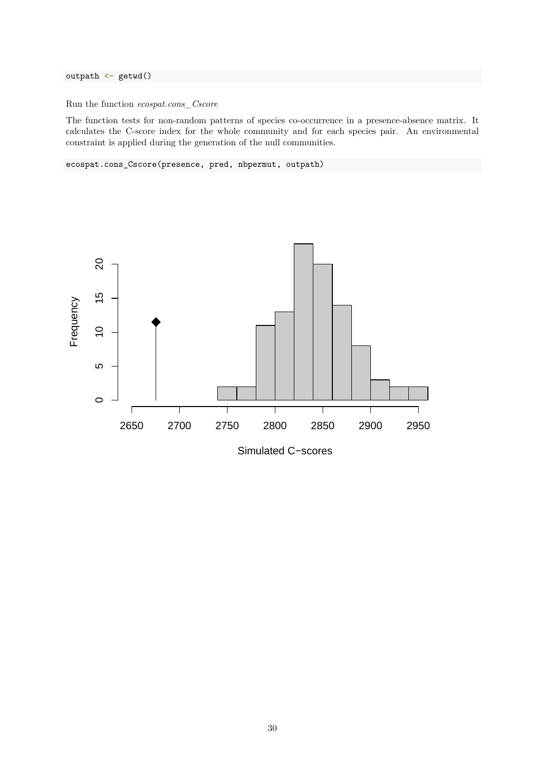outpath <- getwd()

Run the function *ecospat.cons\_Cscore*

The function tests for non-random patterns of species co-occurrence in a presence-absence matrix. It calculates the C-score index for the whole community and for each species pair. An environmental constraint is applied during the generation of the null communities.

ecospat.cons\_Cscore(presence, pred, nbpermut, outpath)



30